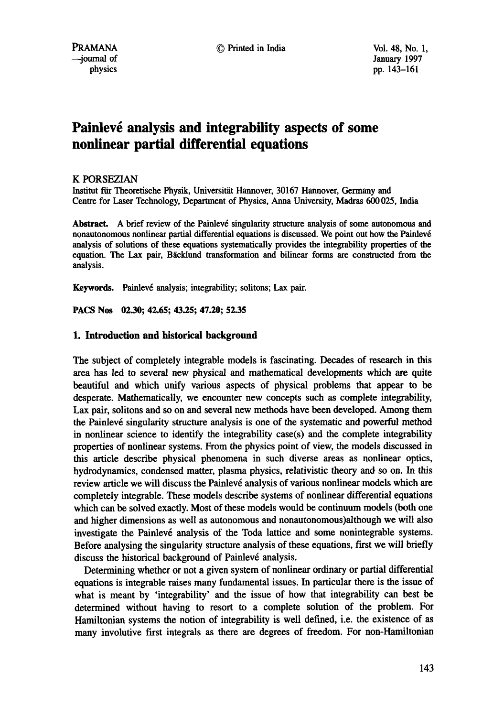# Painlevé analysis and integrability aspects of some **nonlinear partial differential equations**

## K PORSEZIAN

Institut fiir Theoretische Physik, Universitiit Hannover, 30167 Hannover, Germany and Centre for Laser Technology, Department of Physics, Anna University, Madras 600 025, India

Abstract. A brief review of the Painlevé singularity structure analysis of some autonomous and nonautonomous nonlinear partial differential equations is discussed. We point out how the Painlev6 analysis of solutions of these equations systematically provides the integrability properties of the equation. The Lax pair, Bäcklund transformation and bilinear forms are constructed from the analysis.

Keywords. Painlevé analysis; integrability; solitons; Lax pair.

**PACS Nos 02.30; 42.65; 43.25; 47.20; 52.35** 

## **1. Introduction and historical background**

The subject of completely integrable models is fascinating. Decades of research in this area has led to several new physical and mathematical developments which are quite beautiful and which unify various aspects of physical problems that appear to be desperate. Mathematically, we encounter new concepts such as complete integrability, Lax pair, solitons and so on and several new methods have been developed. Among them the Painlev6 singularity structure analysis is one of the systematic and powerful method in nonlinear science to identify the integrability case(s) and the complete integrability properties of nonlinear systems. From the physics point of view, the models discussed in this article describe physical phenomena in such diverse areas as nonlinear optics, hydrodynamics, condensed matter, plasma physics, relativistic theory and so on. In this review article we will discuss the Painlevé analysis of various nonlinear models which are completely integrable. These models describe systems of nonlinear differential equations which can be solved exactly. Most of these models would be continuum models (both one and higher dimensions as well as autonomous and nonautonomous)although we will also investigate the Painlevé analysis of the Toda lattice and some nonintegrable systems. Before analysing the singularity structure analysis of these equations, first we will briefly discuss the historical background of Painlevé analysis.

Determining whether or not a given system of nonlinear ordinary or partial differential equations is integrable raises many fundamental issues. In particular there is the issue of what is meant by 'integrability' and the issue of how that integrability can best be determined without having to resort to a complete solution of the problem. For Hamiltonian systems the notion of integrability is well defined, i.e. the existence of as many involutive first integrals as there are degrees of freedom. For non-Hamiltonian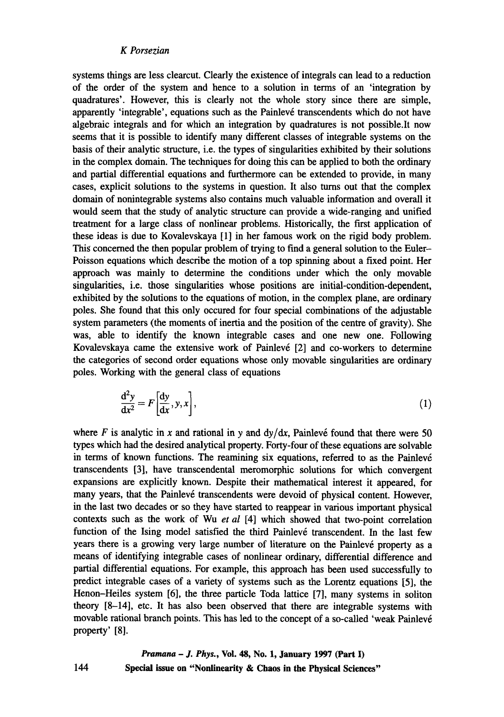systems things are less clearcut. Clearly the existence of integrals can lead to a reduction of the order of the system and hence to a solution in terms of an 'integration by quadratures'. However, this is clearly not the whole story since there are simple, apparently 'integrable', equations such as the Painlevé transcendents which do not have algebraic integrals and for which an integration by quadratures is not possible.It now seems that it is possible to identify many different classes of integrable systems on the basis of their analytic structure, i.e. the types of singularities exhibited by their solutions in the complex domain. The techniques for doing this can be applied to both the ordinary and partial differential equations and furthermore can be extended to provide, in many cases, explicit solutions to the systems in question. It also turns out that the complex domain of nonintegrable systems also contains much valuable information and overall it would seem that the study of analytic structure can provide a wide-ranging and unified treatment for a large class of nonlinear problems. Historically, the first application of these ideas is due to Kovalevskaya [1] in her famous work on the rigid body problem. This concerned the then popular problem of trying to find a general solution to the Euler-Poisson equations which describe the motion of a top spinning about a fixed point. Her approach was mainly to determine the conditions under which the only movable singularities, i.e. those singularities whose positions are initial-condition-dependent, exhibited by the solutions to the equations of motion, in the complex plane, are ordinary poles. She found that this only occured for four special combinations of the adjustable system parameters (the moments of inertia and the position of the centre of gravity). She was, able to identify the known integrable cases and one new one. Following Kovalevskaya came the extensive work of Painlevé [2] and co-workers to determine the categories of second order equations whose only movable singularities are ordinary poles. Working with the general class of equations

$$
\frac{d^2y}{dx^2} = F\left[\frac{dy}{dx}, y, x\right],\tag{1}
$$

where F is analytic in x and rational in y and  $dy/dx$ , Painlevé found that there were 50 types which had the desired analytical property. Forty-four of these equations are solvable in terms of known functions. The reamining six equations, referred to as the Painlevé transcendents [3], have transcendental meromorphic solutions for which convergent expansions are explicitly known. Despite their mathematical interest it appeared, for many years, that the Painlevé transcendents were devoid of physical content. However, in the last two decades or so they have started to reappear in various important physical contexts such as the work of Wu *et al* [4] which showed that two-point correlation function of the Ising model satisfied the third Painlevé transcendent. In the last few years there is a growing very large number of literature on the Painlevé property as a means of identifying integrable cases of nonlinear ordinary, differential difference and partial differential equations. For example, this approach has been used successfully to predict integrable cases of a variety of systems such as the Lorentz equations [5], the Henon-Heiles system [6], the three particle Toda lattice [7], many systems in soliton theory [8-14], etc. It has also been observed that there are integrable systems with movable rational branch points. This has led to the concept of a so-called 'weak Painlevé property' [8].

*Pramana - J. Phys.,* **Vol. 48, No. 1, January 1997 (Part I) Special issue on "Nonlinearity & Chaos in the Physical Sciences"**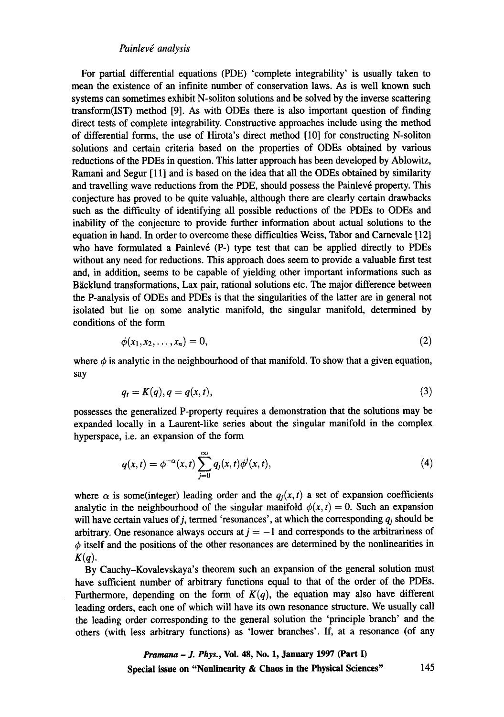## *Painlev~ analysis*

For partial differential equations (PDE) 'complete integrability' is usually taken to mean the existence of an infinite number of conservation laws. As is well known such systems can sometimes exhibit N-soliton solutions and be solved by the inverse scattering transform(IST) method [9]. As with ODEs there is also important question of finding direct tests of complete integrability. Constructive approaches include using the method of differential forms, the use of Hirota's direct method [10] for constructing N-soliton solutions and certain criteria based on the properties of ODEs obtained by various reductions of the PDEs in question. This latter approach has been developed by Ablowitz, Ramani and Segur [11] and is based on the idea that all the ODEs obtained by similarity and travelling wave reductions from the PDE, should possess the Painlevé property. This conjecture has proved to be quite valuable, although there are clearly certain drawbacks such as the difficulty of identifying all possible reductions of the PDEs to ODEs and inability of the conjecture to provide further information about actual solutions to the equation in hand. In order to overcome these difficulties Weiss, Tabor and Carnevale [12] who have formulated a Painlevé  $(P-)$  type test that can be applied directly to PDEs without any need for reductions. This approach does seem to provide a valuable first test and, in addition, seems to be capable of yielding other important informations such as Bäcklund transformations, Lax pair, rational solutions etc. The major difference between the P-analysis of ODEs and PDEs is that the singularities of the latter are in general not isolated but lie on some analytic manifold, the singular manifold, determined by conditions of the form

$$
\phi(x_1,x_2,\ldots,x_n)=0,\tag{2}
$$

where  $\phi$  is analytic in the neighbourhood of that manifold. To show that a given equation, say

$$
q_t = K(q), q = q(x, t), \tag{3}
$$

possesses the generalized P-property requires a demonstration that the solutions may be expanded locally in a Laurent-like series about the singular manifold in the complex hyperspace, i.e. an expansion of the form

$$
q(x,t) = \phi^{-\alpha}(x,t) \sum_{j=0}^{\infty} q_j(x,t) \phi^j(x,t), \qquad (4)
$$

where  $\alpha$  is some(integer) leading order and the  $q_i(x, t)$  a set of expansion coefficients analytic in the neighbourhood of the singular manifold  $\phi(x, t) = 0$ . Such an expansion will have certain values of j, termed 'resonances', at which the corresponding  $q_i$  should be arbitrary. One resonance always occurs at  $j = -1$  and corresponds to the arbitrariness of  $\phi$  itself and the positions of the other resonances are determined by the nonlinearities in  $K(q)$ .

By Cauchy-Kovalevskaya's theorem such an expansion of the general solution must have sufficient number of arbitrary functions equal to that of the order of the PDEs. Furthermore, depending on the form of  $K(q)$ , the equation may also have different leading orders, each one of which will have its own resonance structure. We usually call the leading order corresponding to the general solution the 'principle branch' and the others (with less arbitrary functions) as 'lower branches'. If, at a resonance (of any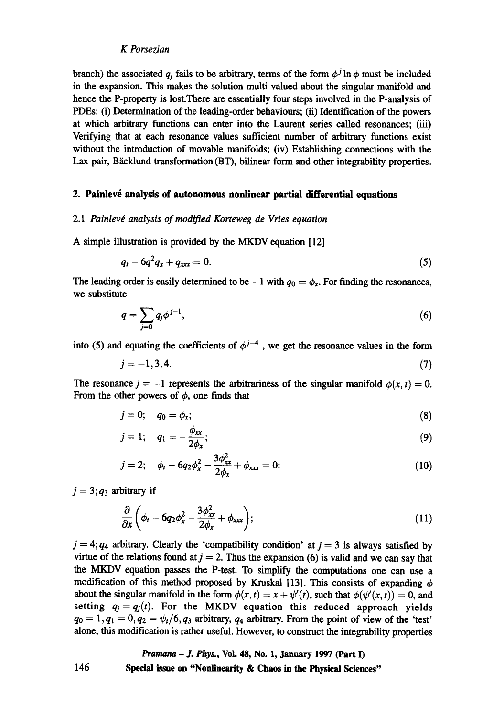branch) the associated  $q_i$  fails to be arbitrary, terms of the form  $\phi^j \ln \phi$  must be included in the expansion. This makes the solution multi-valued about the singular manifold and hence the P-property is lost.There are essentially four steps involved in the P-analysis of PDEs: (i) Determination of the leading-order behaviours; (ii) Identification of the powers at which arbitrary functions can enter into the Lament series called resonances; (iii) Verifying that at each resonance values sufficient number of arbitrary functions exist without the introduction of movable manifolds; (iv) Establishing connections with the Lax pair, Bäcklund transformation (BT), bilinear form and other integrability properties.

## **2. Painlevé analysis of autonomous nonlinear partial differential equations**

#### 2.1 Painlevé analysis of modified Korteweg de Vries equation

A simple illustration is provided by the MKDV equation [12]

$$
q_t - 6q^2 q_x + q_{xxx} = 0. \tag{5}
$$

The leading order is easily determined to be  $-1$  with  $q_0 = \phi_x$ . For finding the resonances, we substitute

$$
q = \sum_{j=0} q_j \phi^{j-1},\tag{6}
$$

into (5) and equating the coefficients of  $\phi^{j-4}$ , we get the resonance values in the form

$$
j = -1, 3, 4. \tag{7}
$$

The resonance  $j = -1$  represents the arbitrariness of the singular manifold  $\phi(x, t) = 0$ . From the other powers of  $\phi$ , one finds that

$$
j=0;\quad q_0=\phi_x;\tag{8}
$$

$$
j=1;\quad q_1=-\frac{\phi_{xx}}{2\phi_x};\qquad \qquad (9)
$$

$$
j = 2;
$$
  $\phi_t - 6q_2\phi_x^2 - \frac{3\phi_{xx}^2}{2\phi_x} + \phi_{xxx} = 0;$  (10)

 $j = 3; q_3$  arbitrary if

$$
\frac{\partial}{\partial x}\left(\phi_t - 6q_2\phi_x^2 - \frac{3\phi_{xx}^2}{2\phi_x} + \phi_{xxx}\right);
$$
\n(11)

 $j = 4$ ;  $q_4$  arbitrary. Clearly the 'compatibility condition' at  $j = 3$  is always satisfied by virtue of the relations found at  $j = 2$ . Thus the expansion (6) is valid and we can say that the MKDV equation passes the P-test. To simplify the computations one can use a modification of this method proposed by Kruskal [13]. This consists of expanding  $\phi$ about the singular manifold in the form  $\phi(x, t) = x + \psi'(t)$ , such that  $\phi(\psi'(x, t)) = 0$ , and setting  $q_j = q_j(t)$ . For the MKDV equation this reduced approach yields  $q_0 = 1, q_1 = 0, q_2 = \psi_t/6, q_3$  arbitrary,  $q_4$  arbitrary. From the point of view of the 'test' alone, this modification is rather useful. However, to construct the integrability properties

# *Pramana - J. Phys.,* **Vol. 48, No. 1, January 1997 (Part I)**

**Special issue on "Nonlinearity & Chaos in the Physical Sciences"**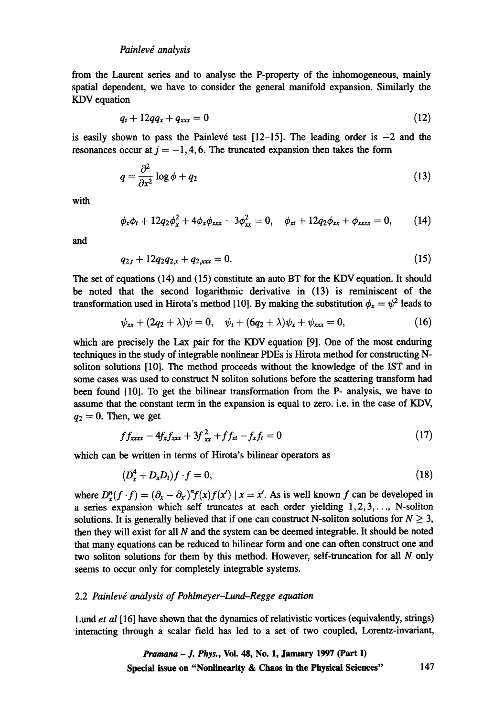from the Laurent series and to analyse the P-property of the inhomogeneous, mainly spatial dependent, we have to consider the general manifold expansion. Similarly the KDV equation

$$
q_t + 12qq_x + q_{xxx} = 0 \tag{12}
$$

is easily shown to pass the Painlevé test  $[12-15]$ . The leading order is  $-2$  and the resonances occur at  $j = -1, 4, 6$ . The truncated expansion then takes the form

$$
q = \frac{\partial^2}{\partial x^2} \log \phi + q_2 \tag{13}
$$

with

$$
\phi_x \phi_t + 12 q_2 \phi_x^2 + 4 \phi_x \phi_{xxx} - 3 \phi_{xx}^2 = 0, \quad \phi_{xt} + 12 q_2 \phi_{xx} + \phi_{xxx} = 0, \quad (14)
$$

and

$$
q_{2,t} + 12q_2 q_{2,x} + q_{2,\text{xxx}} = 0. \tag{15}
$$

The set of equations (14) and (15) constitute an auto BT for the KDV equation. It should be noted that the second logarithmic derivative in (13) is reminiscent of the transformation used in Hirota's method [10]. By making the substitution  $\phi_x = \psi^2$  leads to

$$
\psi_{xx} + (2q_2 + \lambda)\psi = 0, \quad \psi_t + (6q_2 + \lambda)\psi_x + \psi_{xxx} = 0,
$$
 (16)

which are precisely the Lax pair for the KDV equation [9]. One of the most enduring techniques in the study of integrable nonlinear PDEs is Hirota method for constructing Nsoliton solutions [10]. The method proceeds without the knowledge of the IST and in some cases was used to construct N soliton solutions before the scattering transform had been found [10]. To get the bilinear transformation from the P- analysis, we have to assume that the constant term in the expansion is equal to zero. i.e. in the case of KDV,  $q_2 = 0$ . Then, we get

$$
f f_{xxx} - 4f_x f_{xxx} + 3f_{xx}^2 + f f_{xt} - f_x f_t = 0 \tag{17}
$$

which can be written in terms of Hirota's bilinear operators as

$$
(D_x^4 + D_x D_t)f \cdot f = 0,\t\t(18)
$$

where  $D_r^{\prime\prime}(f \cdot f) = (\partial_x - \partial_x)^n f(x) f(x') | x = x'$ . As is well known f can be developed in a series expansion which self truncates at each order yielding  $1, 2, 3, \ldots$ , N-soliton solutions. It is generally believed that if one can construct N-soliton solutions for  $N \geq 3$ , then they will exist for all  $N$  and the system can be deemed integrable. It should be noted that many equations can be reduced to bilinear form and one can often construct one and two soliton solutions for them by this method. However, self-truncation for all N only seems to occur only for completely integrable systems.

## 2.2 Painlevé analysis of Pohlmeyer-Lund-Regge equation

Lund *et al* [16] have shown that the dynamics of relativistic vortices (equivalently, strings) interacting through a scalar field has led to a set of two coupled, Lorentz-invariant,

*Pramana - J. Phys.,* **Vol. 48, No. 1, January 1997 (Part I) Special issue on "Nonlinearity & Chaos in the Physical Sciences" 147**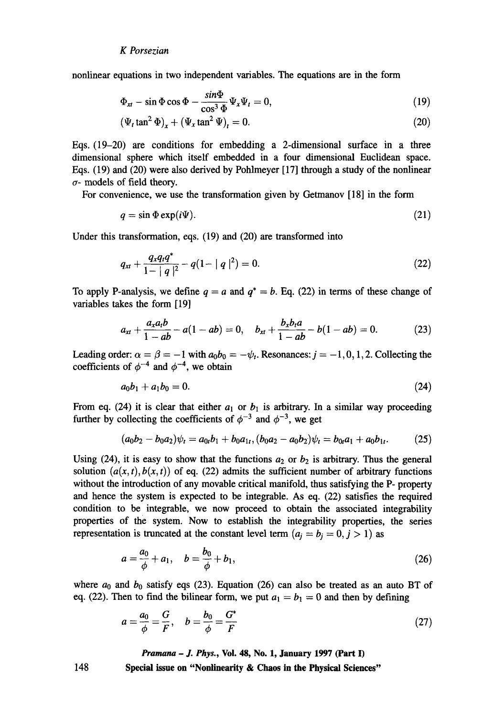nonlinear equations in two independent variables. The equations are in the form

$$
\Phi_{xt} - \sin \Phi \cos \Phi - \frac{\sin \Phi}{\cos^3 \Phi} \Psi_x \Psi_t = 0, \tag{19}
$$

$$
\left(\Psi_t \tan^2 \Phi\right)_x + \left(\Psi_x \tan^2 \Psi\right)_t = 0. \tag{20}
$$

Eqs. (19-20) are conditions for embedding a 2-dimensional surface in a three dimensional sphere which itself embedded in a four dimensional Euclidean space. Eqs. (19) and (20) were also derived by Pohlmeyer [17] through a study of the nonlinear  $\sigma$ - models of field theory.

For convenience, we use the transformation given by Getmanov [18] in the form

$$
q = \sin \Phi \exp(i\Psi). \tag{21}
$$

Under this transformation, eqs. (19) and (20) are transformed into

$$
q_{xt} + \frac{q_x q_t q^*}{1 - |q|^2} - q(1 - |q|^2) = 0. \tag{22}
$$

To apply P-analysis, we define  $q = a$  and  $q^* = b$ . Eq. (22) in terms of these change of variables takes the form [19]

$$
a_{xt} + \frac{a_x a_t b}{1 - ab} - a(1 - ab) = 0, \quad b_{xt} + \frac{b_x b_t a}{1 - ab} - b(1 - ab) = 0.
$$
 (23)

Leading order:  $\alpha = \beta = -1$  with  $a_0b_0 = -\psi_t$ . Resonances:  $j = -1, 0, 1, 2$ . Collecting the coefficients of  $\phi^{-4}$  and  $\phi^{-4}$ , we obtain

$$
a_0b_1 + a_1b_0 = 0. \t\t(24)
$$

From eq. (24) it is clear that either  $a_1$  or  $b_1$  is arbitrary. In a similar way proceeding further by collecting the coefficients of  $\phi^{-3}$  and  $\phi^{-3}$ , we get

$$
(a_0b_2-b_0a_2)\psi_t = a_{0t}b_1 + b_0a_{1t}, (b_0a_2-a_0b_2)\psi_t = b_{0t}a_1 + a_0b_{1t}.
$$
 (25)

Using (24), it is easy to show that the functions  $a_2$  or  $b_2$  is arbitrary. Thus the general solution  $(a(x, t), b(x, t))$  of eq. (22) admits the sufficient number of arbitrary functions without the introduction of any movable critical manifold, thus satisfying the P- property and hence the system is expected to be integrable. As eq. (22) satisfies the required condition to be integrable, we now proceed to obtain the associated integrability properties of the system. Now to establish the integrability properties, the series representation is truncated at the constant level term  $(a_i = b_i = 0, j > 1)$  as

$$
a = \frac{a_0}{\phi} + a_1, \quad b = \frac{b_0}{\phi} + b_1,\tag{26}
$$

where  $a_0$  and  $b_0$  satisfy eqs (23). Equation (26) can also be treated as an auto BT of eq. (22). Then to find the bilinear form, we put  $a_1 = b_1 = 0$  and then by defining

$$
a = \frac{a_0}{\phi} = \frac{G}{F}, \quad b = \frac{b_0}{\phi} = \frac{G^*}{F}
$$
\n
$$
\tag{27}
$$

*Pramana - J. Phys.,* **Vol. 48, No. 1, January 1997 (Part I)** 

**Special issue on "Nonlinearity & Chaos in the Physical Sciences"**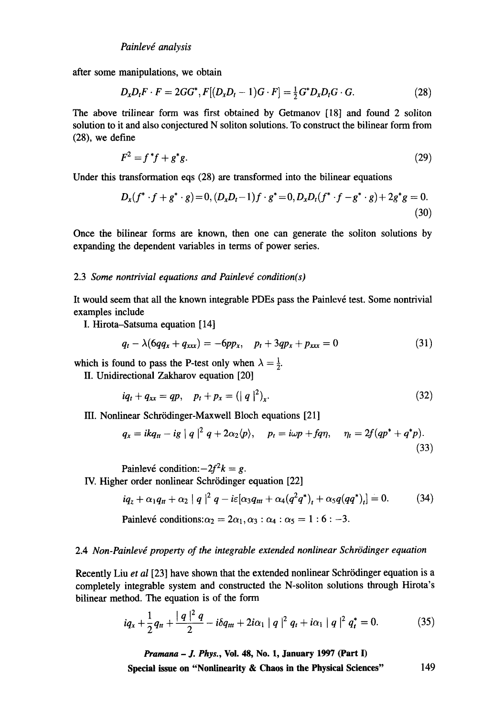after some manipulations, we obtain

$$
D_x D_t F \cdot F = 2GG^*, F[(D_x D_t - 1)G \cdot F] = \frac{1}{2} G^* D_x D_t G \cdot G. \tag{28}
$$

The above trilinear form was first obtained by Getmanov [18] and found 2 soliton solution to it and also conjectured N soliton solutions. To construct the bilinear form from (28), we define

$$
F^2 = f^*f + g^*g. \tag{29}
$$

Under this transformation eqs (28) are transformed into the bilinear equations

$$
D_x(f^* \cdot f + g^* \cdot g) = 0, (D_x D_t - 1)f \cdot g^* = 0, D_x D_t(f^* \cdot f - g^* \cdot g) + 2g^*g = 0.
$$
\n(30)

Once the bilinear forms are known, then one can generate the soliton solutions by expanding the dependent variables in terms of power series.

#### 2.3 Some nontrivial equations and Painlevé condition(s)

It would seem that all the known integrable PDEs pass the Painlevé test. Some nontrivial examples include

I. Hirota-Satsuma equation [14]

$$
q_t - \lambda (6qq_x + q_{xxx}) = -6pp_x, \quad p_t + 3qp_x + p_{xxx} = 0 \tag{31}
$$

which is found to pass the P-test only when  $\lambda = \frac{1}{2}$ .

II. Unidirectional Zakharov equation [20]

$$
iq_t + q_{xx} = qp, \quad p_t + p_x = (|q|^2)_x.
$$
 (32)

III. Nonlinear Schrödinger-Maxwell Bloch equations [21]

$$
q_x = ikq_n - ig \mid q \mid^2 q + 2\alpha_2 \langle p \rangle, \quad p_t = i\omega p + fq\eta, \quad \eta_t = 2f(qp^* + q^*p).
$$
\n(33)

Painlevé condition: $-2f^2k = g$ . IV. Higher order nonlinear Schrödinger equation [22]

$$
iq_{z} + \alpha_{1}q_{tt} + \alpha_{2} |q|^{2} q - i\varepsilon[\alpha_{3}q_{tt} + \alpha_{4}(q^{2}q^{*})_{t} + \alpha_{5}q(qq^{*})_{t}] = 0. \qquad (34)
$$

Painlevé conditions:  $\alpha_2 = 2\alpha_1, \alpha_3 : \alpha_4 : \alpha_5 = 1 : 6 : -3$ .

## 2.4 *Non-Painlevé property of the integrable extended nonlinear Schrödinger equation*

Recently Liu *et al* [23] have shown that the extended nonlinear Schrödinger equation is a completely integrable system and constructed the N-soliton solutions through Hirota's bilinear method. The equation is of the form

$$
iq_x + \frac{1}{2}q_{tt} + \frac{|q|^2 q}{2} - i\delta q_{tt} + 2i\alpha_1 |q|^2 q_t + i\alpha_1 |q|^2 q_t^* = 0.
$$
 (35)

*Pramana - J. Phys.,* **Vol. 48, No. 1, January 1997 (Part I)**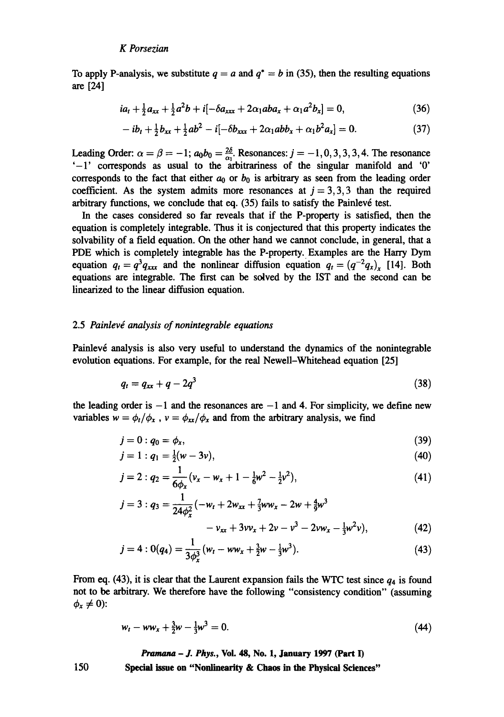To apply P-analysis, we substitute  $q = a$  and  $q^* = b$  in (35), then the resulting equations are [241

$$
ia_{t} + \frac{1}{2}a_{xx} + \frac{1}{2}a^{2}b + i[-\delta a_{xxx} + 2\alpha_{1}aba_{x} + \alpha_{1}a^{2}b_{x}] = 0,
$$
\n(36)

$$
-ib_{t} + \frac{1}{2}b_{xx} + \frac{1}{2}ab^{2} - i[-\delta b_{xxx} + 2\alpha_{1}abb_{x} + \alpha_{1}b^{2}a_{x}] = 0.
$$
 (37)

Leading Order:  $\alpha = \beta = -1; a_0b_0 = \frac{20}{\alpha_1}$ . Resonances:  $j = -1, 0, 3, 3, 3, 4$ . The resonance '-1' corresponds as usual to the arbitrariness of the singular manifold and '0' corresponds to the fact that either  $a_0$  or  $b_0$  is arbitrary as seen from the leading order coefficient. As the system admits more resonances at  $j=3,3,3$  than the required arbitrary functions, we conclude that eq.  $(35)$  fails to satisfy the Painlevé test.

In the cases considered so far reveals that if the P-property is satisfied, then the equation is completely integrable. Thus it is conjectured that this property indicates the solvability of a field equation. On the other hand we cannot conclude, in general, that a PDE which is completely integrable has the P-property. Examples are the Harry Dym equation  $q_t = q^3 q_{xxx}$  and the nonlinear diffusion equation  $q_t = (q^{-2} q_x)_x$  [14]. Both equations are integrable. The first can be solved by the IST and the second can be linearized to the linear diffusion equation.

## 2.5 *Painlevd analysis of nonintegrable equations*

Painlev6 analysis is also very useful to understand the dynamics of the nonintegrable evolution equations. For example, for the real Newell-Whitehead equation [25]

$$
q_t = q_{xx} + q - 2q^3 \tag{38}
$$

the leading order is  $-1$  and the resonances are  $-1$  and 4. For simplicity, we define new variables  $w = \phi_t / \phi_x$ ,  $v = \phi_{xx} / \phi_x$  and from the arbitrary analysis, we find

$$
j=0:q_0=\phi_x,\tag{39}
$$

$$
j=1:q_1=\frac{1}{2}(w-3v),
$$
\n(40)

$$
j = 2: q_2 = \frac{1}{6\phi_x}(\nu_x - \nu_x + 1 - \frac{1}{6}\nu^2 - \frac{1}{2}\nu^2), \tag{41}
$$

$$
j = 3: q_3 = \frac{1}{24\phi_x^2}(-w_t + 2w_{xx} + \frac{7}{3}ww_x - 2w + \frac{4}{9}w^3 - v_{xx} + 3vv_x + 2v - v^3 - 2vw_x - \frac{1}{3}w^2v),
$$
\n(42)

$$
j = 4:0(q_4) = \frac{1}{3\phi_x^3}(w_t - ww_x + \frac{3}{2}w - \frac{1}{3}w^3).
$$
 (43)

From eq. (43), it is clear that the Laurent expansion fails the WTC test since  $q_4$  is found not to be arbitrary. We therefore have the following "consistency condition" (assuming  $\phi_x \neq 0$ :

$$
w_t - ww_x + \frac{3}{2}w - \frac{1}{3}w^3 = 0. \tag{44}
$$

*Pramm~ - J. Phys.,* **Vol. 48, No. 1, January 1997 (Part I)** 

**Special issue on "Nonlinearity & Chaos in the Physical Sciences"**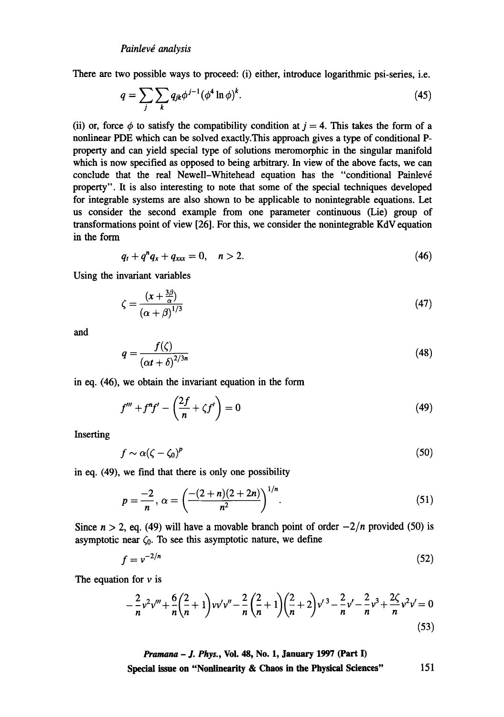There are two possible ways to proceed: (i) either, introduce logarithmic psi-series, i.e.

$$
q = \sum_{j} \sum_{k} q_{jk} \phi^{j-1} (\phi^4 \ln \phi)^k. \tag{45}
$$

(ii) or, force  $\phi$  to satisfy the compatibility condition at  $j = 4$ . This takes the form of a nonlinear PDE which can be solved exactly.This approach gives a type of conditional Pproperty and can yield special type of solutions meromorphic in the singular manifold which is now specified as opposed to being arbitrary. In view of the above facts, we can conclude that the real Newell-Whitehead equation has the "conditional Painlevé property". It is also interesting to note that some of the special techniques developed for integrable systems are also shown to be applicable to nonintegrable equations. Let us consider the second example from one parameter continuous (Lie) group of transformations point of view [26]. For this, we consider the nonintegrable KdV equation in the form

$$
q_t + q^n q_x + q_{xxx} = 0, \quad n > 2. \tag{46}
$$

Using the invariant variables

 $\overline{\phantom{a}}$ 

$$
\zeta = \frac{(x + \frac{3\beta}{\alpha})}{(\alpha + \beta)^{1/3}}\tag{47}
$$

and

$$
q = \frac{f(\zeta)}{\left(\alpha t + \delta\right)^{2/3n}}\tag{48}
$$

in eq. (46), we obtain the invariant equation in the form

$$
f''' + f^{n}f' - \left(\frac{2f}{n} + \zeta f'\right) = 0\tag{49}
$$

Inserting

$$
f \sim \alpha (\zeta - \zeta_0)^p \tag{50}
$$

in eq. (49), we find that there is only one possibility

$$
p = \frac{-2}{n}, \ \alpha = \left(\frac{-(2+n)(2+2n)}{n^2}\right)^{1/n}.\tag{51}
$$

Since  $n > 2$ , eq. (49) will have a movable branch point of order  $-2/n$  provided (50) is asymptotic near  $\zeta_0$ . To see this asymptotic nature, we define

$$
f = v^{-2/n} \tag{52}
$$

The equation for  $\nu$  is

$$
-\frac{2}{n}v^2v''' + \frac{6}{n}\left(\frac{2}{n}+1\right)v v'v'' - \frac{2}{n}\left(\frac{2}{n}+1\right)\left(\frac{2}{n}+2\right)v'^3 - \frac{2}{n}v' - \frac{2}{n}v^3 + \frac{2\zeta}{n}v^2v' = 0
$$
\n(53)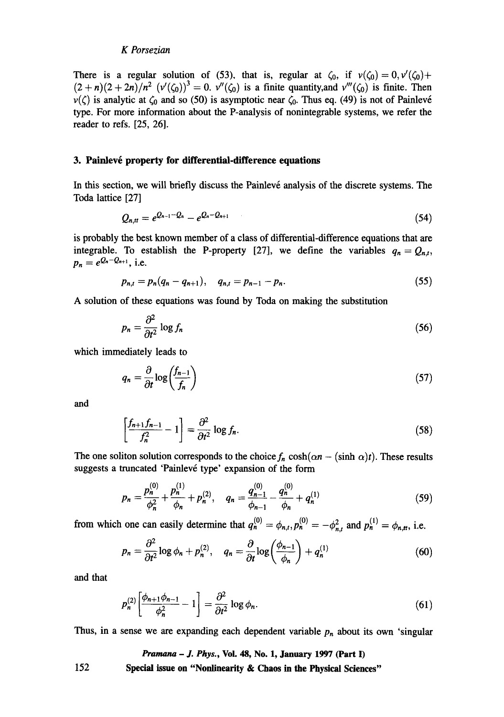There is a regular solution of (53), that is, regular at  $\zeta_0$ , if  $v(\zeta_0)=0, v'(\zeta_0)+$  $(2 + n)(2 + 2n)/n^2$   $(\nu'(\zeta_0))^3 = 0$ .  $\nu''(\zeta_0)$  is a finite quantity, and  $\nu'''(\zeta_0)$  is finite. Then  $v(\zeta)$  is analytic at  $\zeta_0$  and so (50) is asymptotic near  $\zeta_0$ . Thus eq. (49) is not of Painlevé type. For more information about the P-analysis of nonintegrable systems, we refer the reader to refs. [25, 26].

## **3. Painlevé property for differential-difference equations**

In this section, we will briefly discuss the Painlevé analysis of the discrete systems. The Toda lattice [27]

$$
Q_{n,tr} = e^{Q_{n-1} - Q_n} - e^{Q_n - Q_{n+1}} \tag{54}
$$

is probably the best known member of a class of differential-difference equations that are integrable. To establish the P-property [27], we define the variables  $q_n = Q_{n,t}$ ,  $p_n = e^{Q_n - Q_{n+1}}$ , i.e.

$$
p_{n,t} = p_n(q_n - q_{n+1}), \quad q_{n,t} = p_{n-1} - p_n. \tag{55}
$$

A solution of these equations was found by Toda on making the substitution

$$
p_n = \frac{\partial^2}{\partial t^2} \log f_n \tag{56}
$$

which immediately leads to

$$
q_n = \frac{\partial}{\partial t} \log \left( \frac{f_{n-1}}{f_n} \right) \tag{57}
$$

and

$$
\left[\frac{f_{n+1}f_{n-1}}{f_n^2} - 1\right] = \frac{\partial^2}{\partial t^2} \log f_n. \tag{58}
$$

The one soliton solution corresponds to the choice  $f_n \cosh(\alpha n - (\sinh \alpha)t)$ . These results suggests a truncated 'Painlevé type' expansion of the form

$$
p_n = \frac{p_n^{(0)}}{\phi_n^2} + \frac{p_n^{(1)}}{\phi_n} + p_n^{(2)}, \quad q_n = \frac{q_{n-1}^{(0)}}{\phi_{n-1}} - \frac{q_n^{(0)}}{\phi_n} + q_n^{(1)}
$$
(59)

from which one can easily determine that  $q_n^{(0)} = \phi_{n,t}, p_n^{(0)} = -\phi_{n,t}^2$  and  $p_n^{(1)} = \phi_{n,t}$ , i.e.

$$
p_n = \frac{\partial^2}{\partial t^2} \log \phi_n + p_n^{(2)}, \quad q_n = \frac{\partial}{\partial t} \log \left( \frac{\phi_{n-1}}{\phi_n} \right) + q_n^{(1)}
$$
(60)

and that

$$
p_n^{(2)} \left[ \frac{\phi_{n+1} \phi_{n-1}}{\phi_n^2} - 1 \right] = \frac{\partial^2}{\partial t^2} \log \phi_n.
$$
 (61)

Thus, in a sense we are expanding each dependent variable  $p_n$  about its own 'singular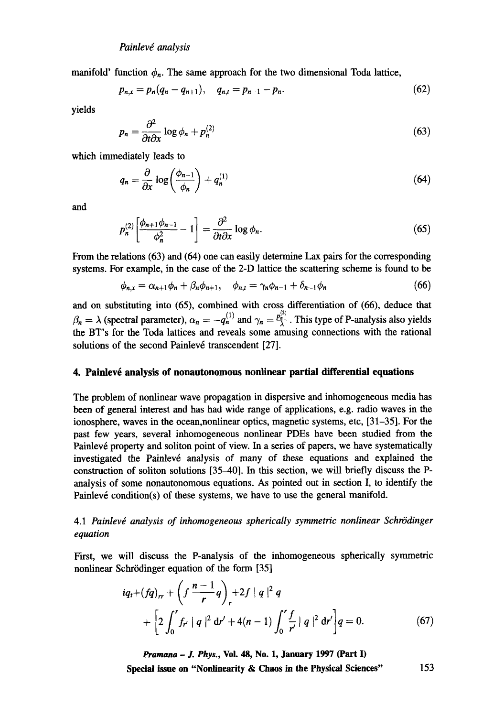manifold' function  $\phi_n$ . The same approach for the two dimensional Toda lattice,

$$
p_{n,x} = p_n(q_n - q_{n+1}), \quad q_{n,t} = p_{n-1} - p_n. \tag{62}
$$

yields

$$
p_n = \frac{\partial^2}{\partial t \partial x} \log \phi_n + p_n^{(2)} \tag{63}
$$

which immediately leads to

$$
q_n = \frac{\partial}{\partial x} \log \left( \frac{\phi_{n-1}}{\phi_n} \right) + q_n^{(1)} \tag{64}
$$

and

$$
p_n^{(2)} \left[ \frac{\phi_{n+1} \phi_{n-1}}{\phi_n^2} - 1 \right] = \frac{\partial^2}{\partial t \partial x} \log \phi_n.
$$
 (65)

From the relations (63) and (64) one can easily determine Lax pairs for the corresponding systems. For example, in the case of the 2-D lattice the scattering scheme is found to be

$$
\phi_{n,x} = \alpha_{n+1}\phi_n + \beta_n\phi_{n+1}, \quad \phi_{n,t} = \gamma_n\phi_{n-1} + \delta_{n-1}\phi_n \tag{66}
$$

and on substituting into (65), combined with cross differentiation of (66), deduce that  $\beta_n = \lambda$  (spectral parameter),  $\alpha_n = -q_n^{(1)}$  and  $\gamma_n = \frac{p_n^{(2)}}{\lambda}$ . This type of P-analysis also yields the BT's for the Toda lattices and reveals some amusing connections with the rational solutions of the second Painlevé transcendent [27].

## **4. Painlev6 analysis of nonautonomous nonlinear partial differential equations**

The problem of nonlinear wave propagation in dispersive and inhomogeneous media has been of general interest and has had wide range of applications, e.g. radio waves in the ionosphere, waves in the ocean,nonlinear optics, magnetic systems, etc, [31-35]. For the past few years, several inhomogeneous nonlinear PDEs have been studied from the Painlevé property and soliton point of view. In a series of papers, we have systematically investigated the Painlevé analysis of many of these equations and explained the construction of soliton solutions [35-40]. In this section, we will briefly discuss the Panalysis of some nonautonomous equations. As pointed out in section I, to identify the Painlevé condition(s) of these systems, we have to use the general manifold.

# 4.1 Painlevé analysis of inhomogeneous spherically symmetric nonlinear Schrödinger *equation*

First, we will discuss the P-analysis of the inhomogeneous spherically symmetric nonlinear Schrödinger equation of the form [35]

$$
iq_t + (fq)_{rr} + \left(f\frac{n-1}{r}q\right)_r + 2f |q|^2 q
$$
  
+ 
$$
\left[2\int_0^r f_{r'} |q|^2 dr' + 4(n-1)\int_0^r \frac{f}{r'} |q|^2 dr'\right] q = 0.
$$
 (67)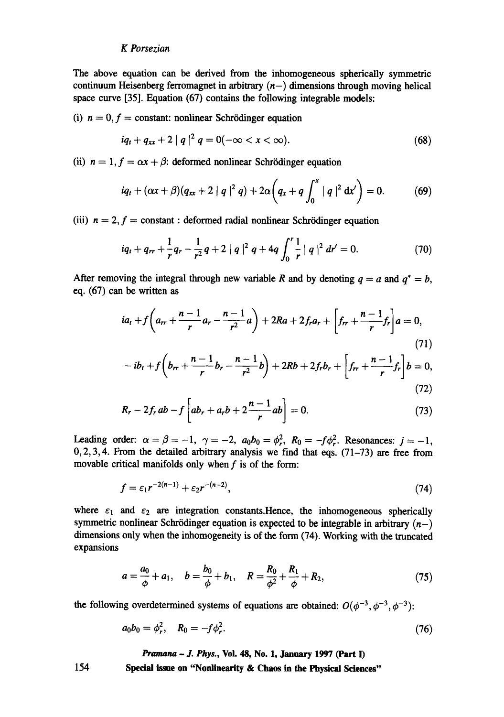The above equation can be derived from the inhomogeneous spherically symmetric continuum Heisenberg ferromagnet in arbitrary  $(n-)$  dimensions through moving helical space curve [35]. Equation (67) contains the following integrable models:

(i)  $n = 0, f = constant$ : nonlinear Schrödinger equation

$$
iq_t + q_{xx} + 2 |q|^2 q = 0(-\infty < x < \infty).
$$
 (68)

(ii)  $n = 1, f = \alpha x + \beta$ : deformed nonlinear Schrödinger equation

$$
iq_{t} + (\alpha x + \beta)(q_{xx} + 2 |q|^{2} q) + 2\alpha \left(q_{x} + q \int_{0}^{x} |q|^{2} dx'\right) = 0.
$$
 (69)

(iii)  $n = 2, f = constant : deformed radial nonlinear Schrödinger equation$ 

$$
iq_t + q_{rr} + \frac{1}{r}q_r - \frac{1}{r^2}q + 2 |q|^2 q + 4q \int_0^r \frac{1}{r} |q|^2 dr' = 0.
$$
 (70)

After removing the integral through new variable R and by denoting  $q = a$  and  $q^* = b$ , eq. (67) can be written as

$$
ia_{t} + f\left(a_{rr} + \frac{n-1}{r}a_{r} - \frac{n-1}{r^{2}}a\right) + 2Ra + 2f_{r}a_{r} + \left[f_{rr} + \frac{n-1}{r}f_{r}\right]a = 0,
$$
\n(71)

$$
-ib_t + f\left(b_{rr} + \frac{n-1}{r}b_r - \frac{n-1}{r^2}b\right) + 2Rb + 2f_r b_r + \left[f_{rr} + \frac{n-1}{r}f_r\right]b = 0,
$$
\n(72)

$$
R_r - 2f_r ab - f \left[ ab_r + a_r b + 2 \frac{n-1}{r} ab \right] = 0.
$$
 (73)

Leading order:  $\alpha = \beta = -1$ ,  $\gamma = -2$ ,  $a_0b_0 = \phi_r^2$ ,  $R_0 = -f\phi_r^2$ . Resonances:  $j = -1$ ,  $0,2,3,4$ . From the detailed arbitrary analysis we find that eqs. (71-73) are free from movable critical manifolds only when  $f$  is of the form:

$$
f = \varepsilon_1 r^{-2(n-1)} + \varepsilon_2 r^{-(n-2)},\tag{74}
$$

where  $\varepsilon_1$  and  $\varepsilon_2$  are integration constants. Hence, the inhomogeneous spherically symmetric nonlinear Schrödinger equation is expected to be integrable in arbitrary  $(n-)$ dimensions only when the inhomogeneity is of the form (74). Working with the truncated expansions

$$
a = \frac{a_0}{\phi} + a_1, \quad b = \frac{b_0}{\phi} + b_1, \quad R = \frac{R_0}{\phi^2} + \frac{R_1}{\phi} + R_2,\tag{75}
$$

the following overdetermined systems of equations are obtained:  $O(\phi^{-3}, \phi^{-3}, \phi^{-3})$ :

$$
a_0b_0 = \phi_r^2, \quad R_0 = -f\phi_r^2. \tag{76}
$$

*Pramana - J. Phys.,* **Vol. 48, No. 1, January 1997 (Part I)** 

**Special issue on "Nonlinearity & Chaos in the Physical Sciences"**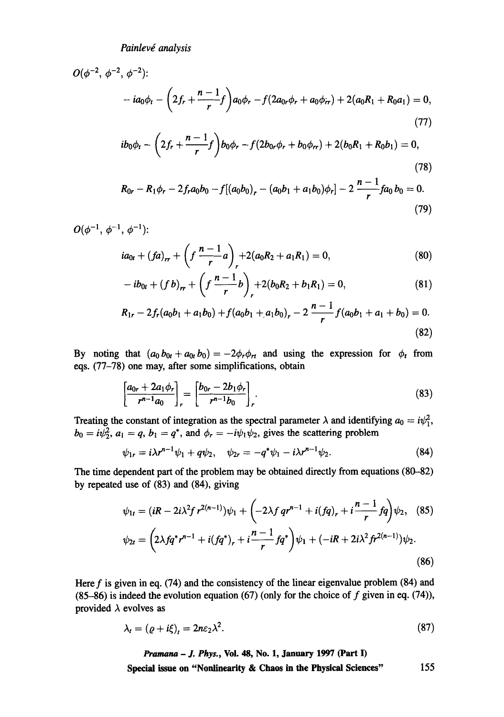$$
O(\phi^{-2}, \phi^{-2}, \phi^{-2})
$$
  
-  $ia_0\phi_t - \left(2f_r + \frac{n-1}{r}f\right)a_0\phi_r - f(2a_0r\phi_r + a_0\phi_r) + 2(a_0R_1 + R_0a_1) = 0,$   
(77)  
 $ib_0\phi_t - \left(2f_r + \frac{n-1}{f}\right)b_0\phi_r - f(2b_0r\phi_r + b_0\phi_r) + 2(b_0R_1 + R_0b_1) = 0,$ 

$$
ib_0\phi_t - \left(2f_r + \frac{n-1}{r}f\right)b_0\phi_r - f(2b_0r\phi_r + b_0\phi_{rr}) + 2(b_0R_1 + R_0b_1) = 0,
$$
\n(78)

$$
R_{0r} - R_1 \phi_r - 2f_r a_0 b_0 - f[(a_0 b_0)_r - (a_0 b_1 + a_1 b_0)\phi_r] - 2\frac{n-1}{r}fa_0 b_0 = 0.
$$
\n(79)

 ${\cal O}(\phi^{-1},\,\phi^{-1},\,\phi^{-1})$  :

$$
ia_{0t} + (fa)_{rr} + \left(f\frac{n-1}{r}a\right)_r + 2(a_0R_2 + a_1R_1) = 0, \tag{80}
$$

$$
- ib_{0t} + (fb)_{rr} + \left( f \frac{n-1}{r} b \right)_{r} + 2(b_0 R_2 + b_1 R_1) = 0, \tag{81}
$$

$$
R_{1r} - 2f_r(a_0b_1 + a_1b_0) + f(a_0b_1 + a_1b_0)_r - 2\frac{n-1}{r}f(a_0b_1 + a_1 + b_0) = 0.
$$
\n(82)

By noting that  $(a_0 b_{0t} + a_{0t} b_0) = -2\phi_r \phi_{rt}$  and using the expression for  $\phi_t$  from eqs. (77-78) one may, after some simplifications, obtain

$$
\left[\frac{a_{0r}+2a_1\phi_r}{r^{n-1}a_0}\right]_r=\left[\frac{b_{0r}-2b_1\phi_r}{r^{n-1}b_0}\right]_r.
$$
\n(83)

Treating the constant of integration as the spectral parameter  $\lambda$  and identifying  $a_0 = i\psi_1^2$ ,  $b_0 = i\psi_2^2$ ,  $a_1 = q$ ,  $b_1 = q^*$ , and  $\phi_r = -i\psi_1\psi_2$ , gives the scattering problem

$$
\psi_{1r} = i\lambda r^{n-1}\psi_1 + q\psi_2, \quad \psi_{2r} = -q^*\psi_1 - i\lambda r^{n-1}\psi_2.
$$
 (84)

The time dependent part of the problem may be obtained directly from equations (80-82) by repeated use of (83) and (84), giving

$$
\psi_{1t} = (iR - 2i\lambda^2 f r^{2(n-1)})\psi_1 + \left(-2\lambda f q r^{n-1} + i(fq)_r + i\frac{n-1}{r}fq\right)\psi_2, \quad (85)
$$
  

$$
\psi_{2t} = \left(2\lambda f q^* r^{n-1} + i(fq^*)_r + i\frac{n-1}{r}fq^*\right)\psi_1 + (-iR + 2i\lambda^2 f r^{2(n-1)})\psi_2.
$$
  
(86)

Here  $f$  is given in eq. (74) and the consistency of the linear eigenvalue problem (84) and (85-86) is indeed the evolution equation (67) (only for the choice of f given in eq. (74)), provided  $\lambda$  evolves as

$$
\lambda_t = (\varrho + i\xi)_t = 2n\varepsilon_2\lambda^2. \tag{87}
$$

*Pramana - J. Phys.,* **Vol. 48, No. 1, January 1997 (Part I)**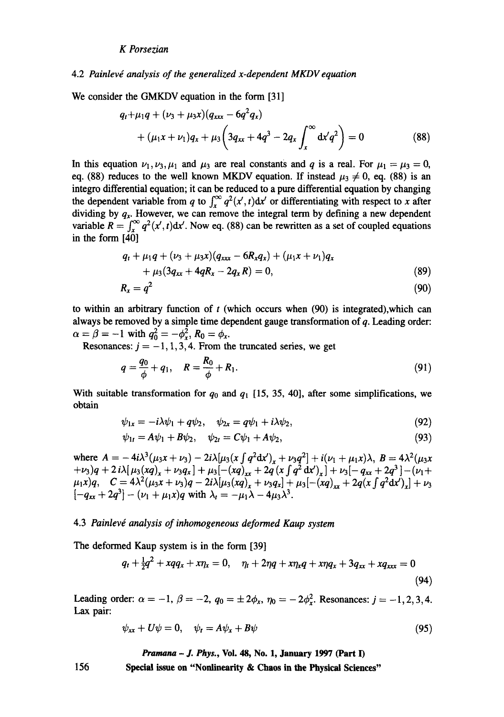#### 4.2 Painlevé analysis of the generalized x-dependent MKDV equation

We consider the GMKDV equation in the form [31]

$$
q_t + \mu_1 q + (\nu_3 + \mu_3 x)(q_{xxx} - 6q^2 q_x)
$$
  
+  $(\mu_1 x + \nu_1) q_x + \mu_3 \left(3q_{xx} + 4q^3 - 2q_x \int_x^{\infty} dx' q^2\right) = 0$  (88)

In this equation  $\nu_1,\nu_3,\mu_1$  and  $\mu_3$  are real constants and q is a real. For  $\mu_1 = \mu_3 = 0$ , eq. (88) reduces to the well known MKDV equation. If instead  $\mu_3 \neq 0$ , eq. (88) is an integro differential equation; it can be reduced to a pure differential equation by changing the dependent variable from q to  $\int_{0}^{\infty} q^{2}(x', t) dx'$  or differentiating with respect to x after dividing by  $q_x$ . However, we can remove the integral term by defining a new dependent variable  $R = \int_{r}^{\infty} q^2(x', t) dx'$ . Now eq. (88) can be rewritten as a set of coupled equations in the form [40]

$$
q_{t} + \mu_{1}q + (\nu_{3} + \mu_{3}x)(q_{xxx} - 6R_{x}q_{x}) + (\mu_{1}x + \nu_{1})q_{x} + \mu_{3}(3q_{xx} + 4qR_{x} - 2q_{x}R) = 0,
$$
\n(89)

$$
R_x = q^2 \tag{90}
$$

to within an arbitrary function of  $t$  (which occurs when  $(90)$  is integrated), which can always be removed by a simple time dependent gauge transformation of q. Leading order:  $\alpha = \beta = -1$  with  $q_0^2 = -\phi_x^2$ ,  $R_0 = \phi_x$ .

Resonances:  $j = -1, 1, 3, 4$ . From the truncated series, we get

$$
q = \frac{q_0}{\phi} + q_1, \quad R = \frac{R_0}{\phi} + R_1.
$$
 (91)

With suitable transformation for  $q_0$  and  $q_1$  [15, 35, 40], after some simplifications, we obtain

$$
\psi_{1x} = -i\lambda\psi_1 + q\psi_2, \quad \psi_{2x} = q\psi_1 + i\lambda\psi_2,\tag{92}
$$

$$
\psi_{1t} = A\psi_1 + B\psi_2, \quad \psi_{2t} = C\psi_1 + A\psi_2, \tag{93}
$$

where  $A = -4i\lambda^3(\mu_3x + \nu_3) - 2i\lambda[\mu_3(x\int q^2dx')_x + \nu_3q^2] + i(\nu_1 + \mu_1x)\lambda$ ,  $B = 4\lambda^2(\mu_3x)$  $(v_3)q + 2 i\lambda \left[\mu_3(xq)_x + \nu_3q_x\right] + \mu_3 \left[-(xq)_x + 2q\left(x\int q^2 dx\right)_x\right] + \nu_3 \left[-q_{xx} + 2q^3\right] - \left(\nu_1 + \nu_2\right)$  $(\mu_1x)q, \quad C = 4\lambda^2(\mu_3x + \nu_3)q - 2i\lambda[\mu_3(xq)]_x + \nu_3q_x] + \mu_3[-(xq)]_x + 2q(x\int q^2dx')_x] + \nu_3$  $[-q_{xx} + 2q^3] - (\nu_1 + \mu_1 x)q$  with  $\lambda_1 = -\mu_1 \lambda - 4\mu_3 \lambda^3$ .

#### 4.3 *Painlevd analysis of inhomogeneous deformed Kaup system*

The deformed Kaup system is in the form [39]

$$
q_t + \frac{1}{2}q^2 + xqq_x + x\eta_x = 0, \quad \eta_t + 2\eta q + x\eta_x q + x\eta q_x + 3q_{xx} + xq_{xxx} = 0
$$
\n(94)

Leading order:  $\alpha = -1, \beta = -2, q_0 = \pm 2\phi_x, \eta_0 = -2\phi_x^2$ . Resonances:  $j = -1, 2, 3, 4$ . Lax pair:

$$
\psi_{xx} + U\psi = 0, \quad \psi_t = A\psi_x + B\psi \tag{95}
$$

*Pramana - J. Phys.,* **Vol. 48, No. 1, January 1997 (Part 1)**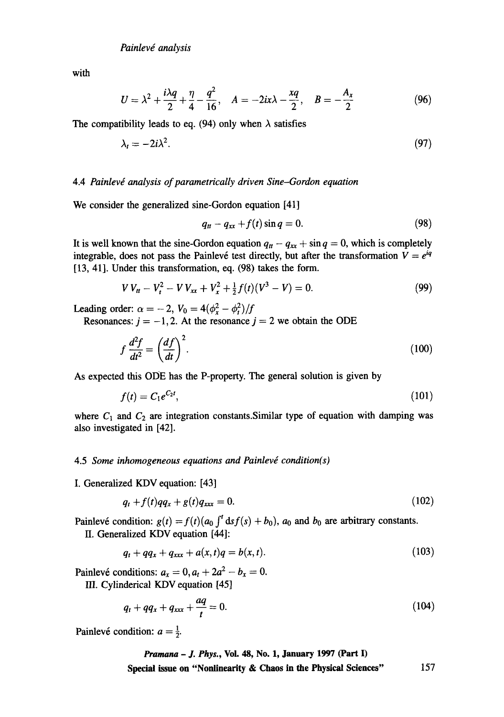with

$$
U = \lambda^2 + \frac{i\lambda q}{2} + \frac{\eta}{4} - \frac{q^2}{16}, \quad A = -2ix\lambda - \frac{xq}{2}, \quad B = -\frac{A_x}{2}
$$
 (96)

The compatibility leads to eq. (94) only when  $\lambda$  satisfies

$$
\lambda_t = -2i\lambda^2. \tag{97}
$$

## 4.4 *Painlevé analysis of parametrically driven Sine-Gordon equation*

We consider the generalized sine-Gordon equation [41]

$$
q_{tt}-q_{xx}+f(t)\sin q=0.\tag{98}
$$

It is well known that the sine-Gordon equation  $q_t - q_{xx} + \sin q = 0$ , which is completely integrable, does not pass the Painlevé test directly, but after the transformation  $V = e^{iq}$ [13, 41]. Under this transformation, eq. (98) takes the form.

$$
V V_{tt} - V_t^2 - V V_{xx} + V_x^2 + \frac{1}{2} f(t) (V^3 - V) = 0.
$$
 (99)

Leading order:  $\alpha = -2$ ,  $V_0 = 4(\phi_x^2 - \phi_t^2)/f$ 

Resonances:  $j = -1, 2$ . At the resonance  $j = 2$  we obtain the ODE

$$
f\frac{d^2f}{dt^2} = \left(\frac{df}{dt}\right)^2.\tag{100}
$$

As expected this ODE has the P-property. The general solution is given by

$$
f(t) = C_1 e^{C_2 t}, \tag{101}
$$

where  $C_1$  and  $C_2$  are integration constants. Similar type of equation with damping was also investigated in [42].

#### 4.5 Some inhomogeneous equations and Painlevé condition(s)

I. Generalized KDV equation: [43]

$$
q_t + f(t)qq_x + g(t)q_{xxx} = 0. \tag{102}
$$

Painlevé condition:  $g(t) = f(t)(a_0 \int_0^t ds f(s) + b_0)$ ,  $a_0$  and  $b_0$  are arbitrary constants. II. Generalized KDV equation [44]:

$$
q_t + qq_x + q_{xxx} + a(x, t)q = b(x, t).
$$
 (103)

Painlevé conditions:  $a_x = 0$ ,  $a_t + 2a^2 - b_x = 0$ . III. Cylinderical KDV equation [45]

$$
q_t + qq_x + q_{xxx} + \frac{aq}{t} = 0.
$$
 (104)

Painlevé condition:  $a = \frac{1}{2}$ .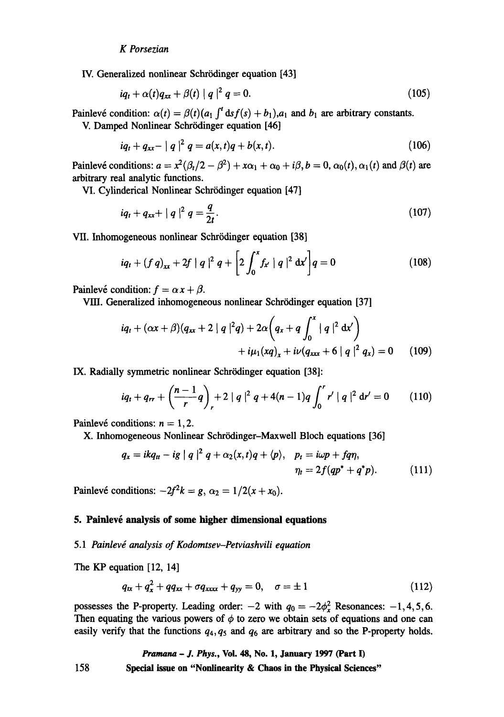IV. Generalized nonlinear Schrödinger equation [43]

$$
iq_t + \alpha(t)q_{xx} + \beta(t) |q|^2 q = 0. \qquad (105)
$$

Painlevé condition:  $\alpha(t) = \beta(t)(a_1 \int_0^t ds f(s) + b_1) a_1$  and  $b_1$  are arbitrary constants.

V. Damped Nonlinear Schrödinger equation [46]

$$
iq_t + q_{xx} - |q|^2 q = a(x, t)q + b(x, t).
$$
 (106)

Painlevé conditions:  $a = x^2(\beta_t/2 - \beta^2) + x\alpha_1 + \alpha_0 + i\beta$ ,  $b = 0$ ,  $\alpha_0(t)$ ,  $\alpha_1(t)$  and  $\beta(t)$  are arbitrary real analytic functions.

VI. Cylinderical Nonlinear Schrödinger equation [47]

$$
iq_t + q_{xx} + |q|^2 q = \frac{q}{2t}.
$$
 (107)

VII. Inhomogeneous nonlinear Schrödinger equation [38]

$$
iq_t + (f q)_{xx} + 2f |q|^2 q + \left[2 \int_0^x f_{x'} |q|^2 dx'\right] q = 0
$$
 (108)

Painlevé condition:  $f = \alpha x + \beta$ .

VIII. Generalized inhomogeneous nonlinear Schrödinger equation [37]

$$
iq_{t} + (\alpha x + \beta)(q_{xx} + 2 |q|^{2}q) + 2\alpha \left(q_{x} + q \int_{0}^{x} |q|^{2} dx'\right) + i\mu_{1}(xq)_{x} + i\nu(q_{xxx} + 6 |q|^{2} q_{x}) = 0 \quad (109)
$$

IX. Radially symmetric nonlinear Schrödinger equation [38]:

$$
iq_t + q_{rr} + \left(\frac{n-1}{r}q\right)_r + 2 |q|^2 q + 4(n-1)q \int_0^r r' |q|^2 dr' = 0 \qquad (110)
$$

Painlevé conditions:  $n = 1, 2$ .

X. Inhomogeneous Nonlinear Schrödinger-Maxwell Bloch equations [36]

$$
q_x = ikq_u - ig \mid q \mid^2 q + \alpha_2(x, t)q + \langle p \rangle, \quad p_t = i\omega p + fq\eta, \eta_t = 2f(qp^* + q^*p). \tag{111}
$$

Painlevé conditions:  $-2f^2k = g$ ,  $\alpha_2 = 1/2(x + x_0)$ .

# **5. Painlevé analysis of some higher dimensional equations**

#### 5.1 Painlevé analysis of Kodomtsev-Petviashvili equation

The KP equation [12, 14]

$$
q_{xx} + q_x^2 + qq_{xx} + \sigma q_{xxxx} + q_{yy} = 0, \quad \sigma = \pm 1
$$
 (112)

possesses the P-property. Leading order:  $-2$  with  $q_0 = -2\phi_x^2$  Resonances:  $-1, 4, 5, 6$ . Then equating the various powers of  $\phi$  to zero we obtain sets of equations and one can easily verify that the functions  $q_4, q_5$  and  $q_6$  are arbitrary and so the P-property holds.

*Pramana - J. Phys.,* **Vol. 48, No. 1, January 1997 (Part I)**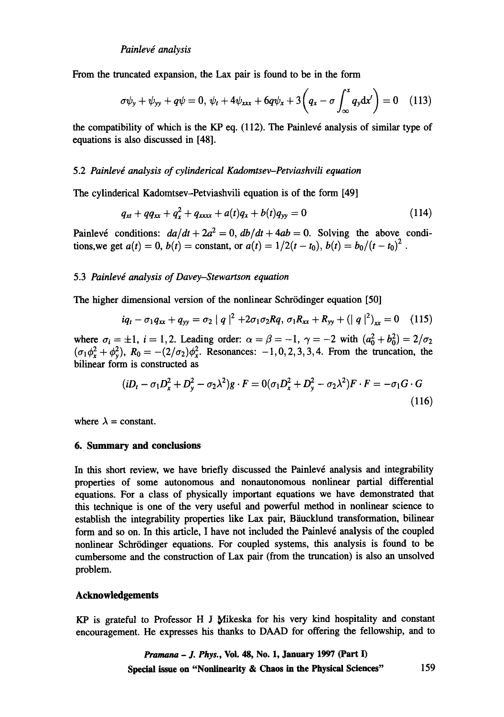From the truncated expansion, the Lax pair is found to be in the form

$$
\sigma\psi_y + \psi_{yy} + q\psi = 0, \ \psi_t + 4\psi_{xxx} + 6q\psi_x + 3\left(q_x - \sigma \int_{\infty}^x q_y \mathrm{d}x'\right) = 0 \quad (113)
$$

the compatibility of which is the KP eq.  $(112)$ . The Painlevé analysis of similar type of equations is also discussed in [48].

#### 5.2 *Painlevd analysis of cylinderical Kadomtsev-Petviashvili equation*

The cylinderical Kadomtsev-Petviashvili equation is of the form [49]

$$
q_{xt} + qq_{xx} + q_x^2 + q_{xxxx} + a(t)q_x + b(t)q_{yy} = 0 \qquad (114)
$$

Painlevé conditions:  $da/dt + 2a^2 = 0$ ,  $db/dt + 4ab = 0$ . Solving the above conditions, we get  $a(t) = 0$ ,  $b(t) =$  constant, or  $a(t) = 1/2(t - t_0)$ ,  $b(t) = b_0/(t - t_0)^2$ .

#### 5.3 Painlevé analysis of Davey-Stewartson equation

The higher dimensional version of the nonlinear Schrödinger equation [50]

$$
iq_t - \sigma_1 q_{xx} + q_{yy} = \sigma_2 |q|^2 + 2\sigma_1 \sigma_2 Rq, \sigma_1 R_{xx} + R_{yy} + (|q|^2)_{xx} = 0 \quad (115)
$$

where  $\sigma_i = \pm 1$ ,  $i = 1,2$ . Leading order:  $\alpha = \beta = -1$ ,  $\gamma = -2$  with  $(a_0^2 + b_0^2) = 2/\sigma_2$  $(\sigma_1 \phi^2 + \phi^2)$ ,  $R_0 = -(2/\sigma_2)\phi^2$ . Resonances:  $-1,0,2,3,3,4$ . From the truncation, the bilinear form is constructed as

$$
(iD_t - \sigma_1 D_x^2 + D_y^2 - \sigma_2 \lambda^2)g \cdot F = 0(\sigma_1 D_x^2 + D_y^2 - \sigma_2 \lambda^2)F \cdot F = -\sigma_1 G \cdot G
$$
\n(116)

where  $\lambda$  = constant.

#### **6. Summary and conclusions**

In this short review, we have briefly discussed the Painlevé analysis and integrability properties of some autonomous and nonautonomous nonlinear partial differential equations. For a class of physically important equations we have demonstrated that this technique is one of the very useful and powerful method in nonlinear science to establish the integrability properties like Lax pair, Bäucklund transformation, bilinear form and so on. In this article, I have not included the Painlevé analysis of the coupled nonlinear Schrödinger equations. For coupled systems, this analysis is found to be cumbersome and the construction of Lax pair (from the truncation) is also an unsolved problem.

## **Acknowledgements**

 $KP$  is grateful to Professor H J Mikeska for his very kind hospitality and constant encouragement. He expresses his thanks to DAAD for offering the fellowship, and to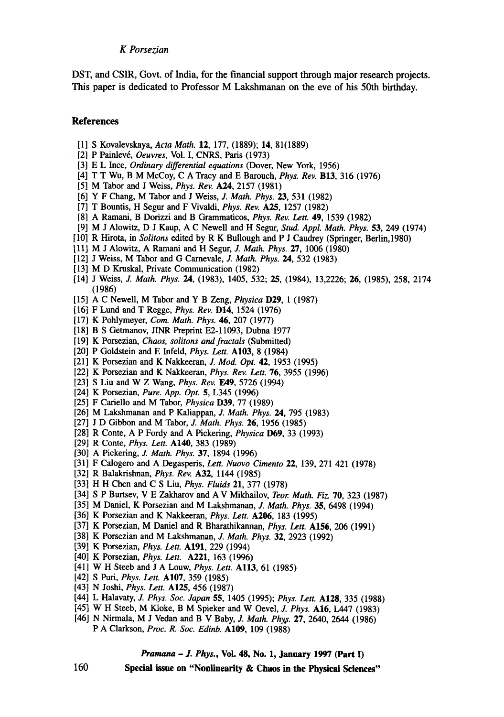DST, and CSIR, Govt. of India, for the financial support through major research projects. This paper is dedicated to Professor M Lakshmanan on the eve of his 50th birthday.

#### **References**

- [1] S Kovalevskaya, *Acta Math.* 12, 177, (1889); 14, 81(1889)
- [2] P Painlevé, *Oeuvres*, Vol. I, CNRS, Paris (1973)
- [3] E L Ince, *Ordinary differential equations* (Dover, New York, 1956)
- [4] T T Wu, B M McCoy, C A Tracy and E Barouch, *Phys. Rev.* B13, 316 (1976)
- [5] M Tabor and J Weiss, Phys. *Rev.* A24, 2157 (1981)
- [6] Y F Chang, M Tabor and J Weiss, J. *Math. Phys.* 23, 531 (1982)
- [7] T Bountis, H Segur and F Vivaldi, *Phys. Rev.* A25, 1257 (1982)
- [8] A Ramani, B Dorizzi and B Grammaticos, *Phys. Rev. Lett.* 49, 1539 (1982)
- [9] M J Alowitz, D J Kaup, A C Newell and H Segur, *Stud. Appl. Math. Phys.* 53, 249 (1974)
- [10] R Hirota, in *Solitons* edited by R K Bullough and P J Caudrey (Springer, Berlin,1980)
- [11] M J Alowitz, A Ramani and H Segur, Z *Math. Phys.* 27, 1006 (1980)
- [12] J Weiss, M Tabor and G Carnevale, J. *Math. Phys. 24,* 532 (1983)
- [13] M D Kruskal, Private Communication (1982)
- [14] J Weiss, Z *Math. Phys.* 24, (1983), 1405, 532; 25, (1984), 13,2226; 26, (1985), 258, 2174 (1986)
- [15] A C Newell, M Tabor and Y B Zeng, *Physica* **D29**, 1 (1987)
- [16] F Lund and T Regge, *Phys. Rev.* D14, 1524 (1976)
- [17] K Pohlymeyer, *Com. Math. Phys.* 46, 207 (1977)
- [18] B S Getmanov, JINR Preprint E2-11093, Dubna 1977
- [19] K Porsezian, *Chaos, solitons andfractals* (Submitted)
- [20] P Goldstein and E Infeld, *Phys. Lett.* A103, 8 (1984)
- [21] K Porsezian and K Nakkeeran, J. *Mod. Opt.* 42, 1953 (1995)
- [22] K Porsezian and K Nakkeeran, *Phys. Rev. Lett.* 76, 3955 (1996)
- [23] S Liu and W Z Wang, *Phys. Rev.* E49, 5726 (1994)
- [24] K Porsezian, *Pure. App. Opt.* 5, L345 (1996)
- [25] F Cariello and M Tabor, *Physica* **D39**, 77 (1989)
- [26] M Lakshmanan and P Kaliappan, J. *Math. Phys.* 24, 795 (1983)
- [27] J D Gibbon and M Tabor, J. *Math. Phys.* 26, 1956 (1985)
- [28] R Conte, A P Fordy and A Picketing, *Physica* D69, 33 (1993)
- [29] R Conte, *Phys. Lett.* A140, 383 (1989)
- [30] A Pickering, J. *Math. Phys.* 37, 1894 (1996)
- [31] F Calogero and A Degasperis, Lett. *Nuovo Cimento* 22, 139, 271 421 (1978)
- [32] R Balakrishnan, *Phys. Rev.* A32, 1144 (1985)
- [33] H H Chen and C S Liu, *Phys. Fluids* 21, 377 (1978)
- [34] S P Burtsev, V E Zakharov **and** AV Mikhailov, *Teor. Math. Fiz.* 70, 323 (1987)
- [35] M Daniel, K Porsezian and M Lakshmanan, *J. Math. Phys.* 35, 6498 (1994)
- [36] K Porsezian and K Nakkeeran, *Phys. Lett.* A206, 183 (1995)
- [37] K Porsezian, M Daniel and R Bharathikannan, *Phys. Lett.* A156, 206 (1991)
- [38] K Porsezian and M Lakshmanan, *J. Math. Phys.* 32, 2923 (1992)
- [39] K Porsezian, *Phys. Lett.* A191, 229 (1994)
- [40] K Porsezian, *Phys. Lett.* A221, 163 (1996)
- [41] W H Steeb and J A Louw, *Phys. Lett.* All3, 61 (1985)
- [42] S Puri, *Phys. Lett.* A107, 359 (1985)
- [43] N Joshi, *Phys. Lett.* A125, 456 (1987)
- [44] L Halavaty, J. *Phys. Soc. Japan* 55, 1405 (1995); *Phys. Lett.* A128, 335 (1988)
- [45] W H Steeb, M Kloke, B M Spieker and W Oevel, *J. Phys.* **A16**, L447 (1983)
- [46] N Nirmala, M J Vedan and B V Baby, *J. Math. Phys.* 27, 2640, 2644 (1986) P A Clarkson, *Proc. R. Soc. Edinb.* A109, 109 (1988)

*Pramana - J. Phys.,* **Vol. 48, No. 1, January 1997 (Part I)**